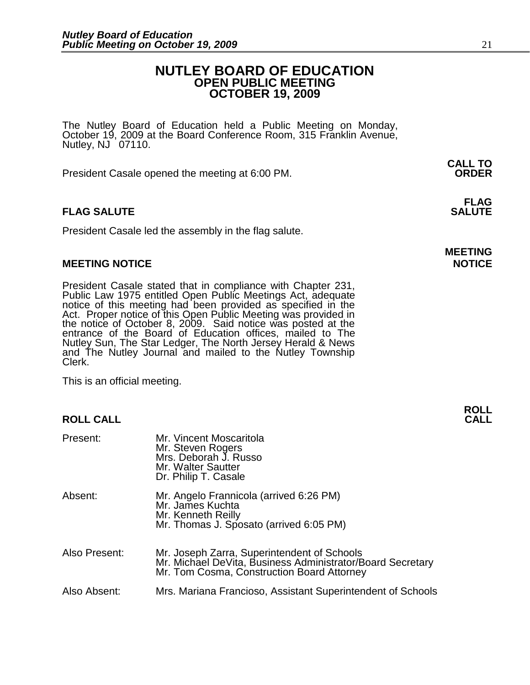### **NUTLEY BOARD OF EDUCATION OPEN PUBLIC MEETING OCTOBER 19, 2009**

The Nutley Board of Education held a Public Meeting on Monday, October 19, 2009 at the Board Conference Room, 315 Franklin Avenue, Nutley,  $NJ$  07110.

 **CALL TO**  President Casale opened the meeting at 6:00 PM. **ORDER**

#### **FLAG FLAG SALUTE** SALUTE SALUTE SALUTE SALUTE SALUTE

President Casale led the assembly in the flag salute.

#### **MEETING NOTICE NOTICE**

President Casale stated that in compliance with Chapter 231, Public Law 1975 entitled Open Public Meetings Act, adequate notice of this meeting had been provided as specified in the Act. Proper notice of this Open Public Meeting was provided in the notice of October 8, 2009. Said notice was posted at the entrance of the Board of Education offices, mailed to The Nutley Sun, The Star Ledger, The North Jersey Herald & News and The Nutley Journal and mailed to the Nutley Township Clerk.

This is an official meeting.

#### **ROLL CALL**

| Present:      | Mr. Vincent Moscaritola<br>Mr. Steven Rogers<br>Mrs. Deborah J. Russo<br>Mr. Walter Sautter<br>Dr. Philip T. Casale                                     |
|---------------|---------------------------------------------------------------------------------------------------------------------------------------------------------|
| Absent:       | Mr. Angelo Frannicola (arrived 6:26 PM)<br>Mr. James Kuchta<br>Mr. Kenneth Reilly<br>Mr. Thomas J. Sposato (arrived 6:05 PM)                            |
| Also Present: | Mr. Joseph Zarra, Superintendent of Schools<br>Mr. Michael DeVita, Business Administrator/Board Secretary<br>Mr. Tom Cosma, Construction Board Attorney |
| Also Absent:  | Mrs. Mariana Francioso, Assistant Superintendent of Schools                                                                                             |

**MEETING** 

**ROLL**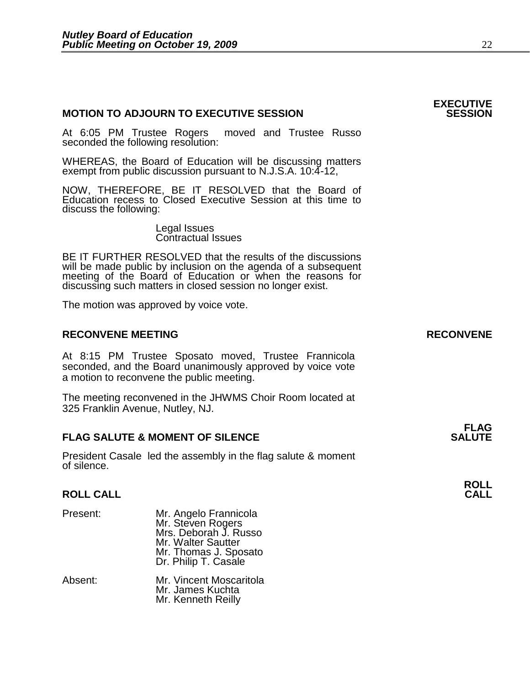#### **MOTION TO ADJOURN TO EXECUTIVE SESSION**

At 6:05 PM Trustee Rogers moved and Trustee Russo seconded the following resolution:

WHEREAS, the Board of Education will be discussing matters exempt from public discussion pursuant to N.J.S.A. 10:4-12,

NOW, THEREFORE, BE IT RESOLVED that the Board of Education recess to Closed Executive Session at this time to discuss the following:

> Legal Issues Contractual Issues

BE IT FURTHER RESOLVED that the results of the discussions will be made public by inclusion on the agenda of a subsequent meeting of the Board of Education or when the reasons for discussing such matters in closed session no longer exist. 

The motion was approved by voice vote.

#### **RECONVENE MEETING RECONVENE**

At 8:15 PM Trustee Sposato moved, Trustee Frannicola seconded, and the Board unanimously approved by voice vote a motion to reconvene the public meeting.

The meeting reconvened in the JHWMS Choir Room located at 325 Franklin Avenue, Nutley, NJ.

#### **FLAG FLAG SALUTE & MOMENT OF SILENCE SALUTE**

President Casale led the assembly in the flag salute & moment of silence.

#### **ROLL CALL**

| Present: | Mr. Angelo Frannicola<br>Mr. Steven Rogers<br>Mrs. Deborah J. Russo<br>Mr. Walter Sautter<br>Mr. Thomas J. Sposato<br>Dr. Philip T. Casale |
|----------|--------------------------------------------------------------------------------------------------------------------------------------------|
| Absent:  | Mr. Vincent Moscaritola<br>Mr. James Kuchta<br>Mr. Kenneth Reilly                                                                          |

# **EXECUTIVE**

**ROLL**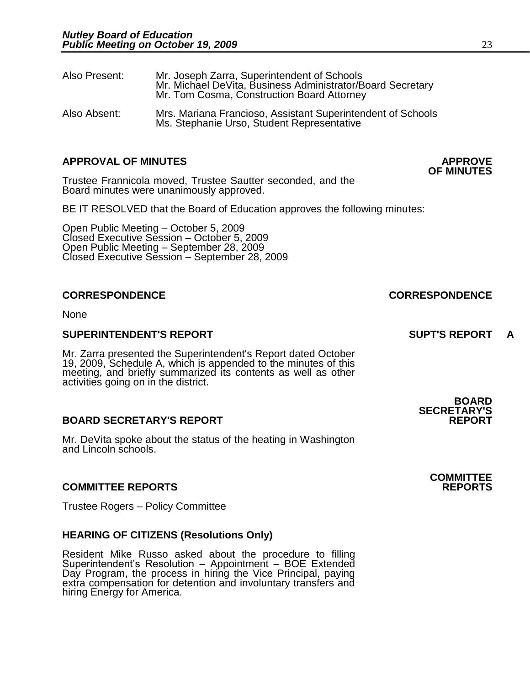| Also Present: | Mr. Joseph Zarra, Superintendent of Schools<br>Mr. Michael DeVita, Business Administrator/Board Secretary<br>Mr. Tom Cosma, Construction Board Attorney |
|---------------|---------------------------------------------------------------------------------------------------------------------------------------------------------|
| Also Absent:  | Mrs. Mariana Francioso, Assistant Superintendent of Schools<br>Ms. Stephanie Urso, Student Representative                                               |

#### **APPROVAL OF MINUTES APPROVE**

Trustee Frannicola moved, Trustee Sautter seconded, and the Board minutes were unanimously approved.

BE IT RESOLVED that the Board of Education approves the following minutes:

 Open Public Meeting – October 5, 2009 Closed Executive Session – October 5, 2009 Open Public Meeting – September 28, 2009 Closed Executive Session – September 28, 2009

#### **CORRESPONDENCE CORRESPONDENCE**

None

#### **SUPERINTENDENT'S REPORT SUPT'S REPORT A**

Mr. Zarra presented the Superintendent's Report dated October 19, 2009, Schedule A, which is appended to the minutes of this meeting, and briefly summarized its contents as well as other activities going on in the district.

#### **BOARD SECRETARY'S REPORT REPORT**

Mr. DeVita spoke about the status of the heating in Washington and Lincoln schools.

#### **COMMITTEE REPORTS REPORTS**

Trustee Rogers – Policy Committee

#### **HEARING OF CITIZENS (Resolutions Only)**

Resident Mike Russo asked about the procedure to filling Superintendent's Resolution – Appointment – BOE Extended Day Program, the process in hiring the Vice Principal, paying extra compensation for detention and involuntary transfers and hiring Energy for America.

**OF MINUTES** 

**SECRETARY'S** 

**BOARD** 

**COMMITTEE**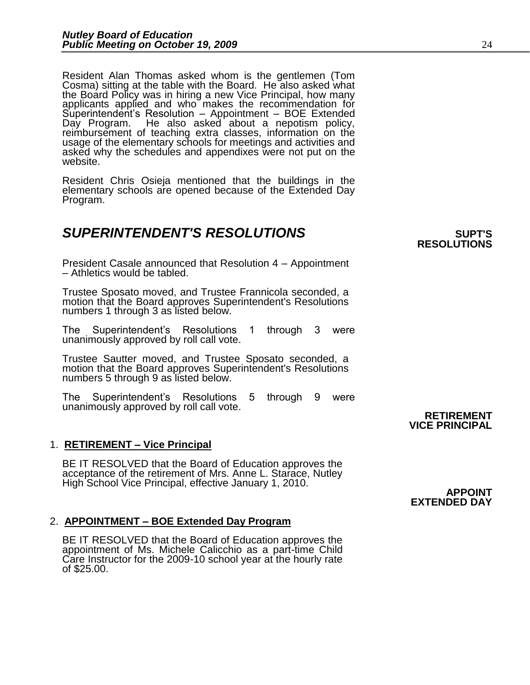Resident Alan Thomas asked whom is the gentlemen (Tom Cosma) sitting at the table with the Board. He also asked what the Board Policy was in hiring a new Vice Principal, how many applicants applied and who makes the recommendation for Superintendent's Resolution – Appointment – BOE Extended Day Program. He also asked about a nepotism policy, reimbursement of teaching extra classes, information on the usage of the elementary schools for meetings and activities and asked why the schedules and appendixes were not put on the website.

Resident Chris Osieja mentioned that the buildings in the elementary schools are opened because of the Extended Day Program.

### **SUPERINTENDENT'S RESOLUTIONS EXAMPLE AND RESOLUTIONS**

President Casale announced that Resolution 4 – Appointment – Athletics would be tabled.

Trustee Sposato moved, and Trustee Frannicola seconded, a motion that the Board approves Superintendent's Resolutions numbers 1 through 3 as listed below.

The Superintendent's Resolutions 1 through 3 were unanimously approved by roll call vote.

Trustee Sautter moved, and Trustee Sposato seconded, a motion that the Board approves Superintendent's Resolutions numbers 5 through 9 as listed below.

The Superintendent's Resolutions 5 through 9 were unanimously approved by roll call vote.

#### 1. **RETIREMENT – Vice Principal**

BE IT RESOLVED that the Board of Education approves the acceptance of the retirement of Mrs. Anne L. Starace, Nutley High School Vice Principal, effective January 1, 2010.

#### 2. **APPOINTMENT – BOE Extended Day Program**

BE IT RESOLVED that the Board of Education approves the appointment of Ms. Michele Calicchio as a part-time Child Care Instructor for the 2009-10 school year at the hourly rate of \$25.00.

**RESOLUTIONS** 

#### **RETIREMENT VICE PRINCIPAL**

**APPOINT EXTENDED DAY**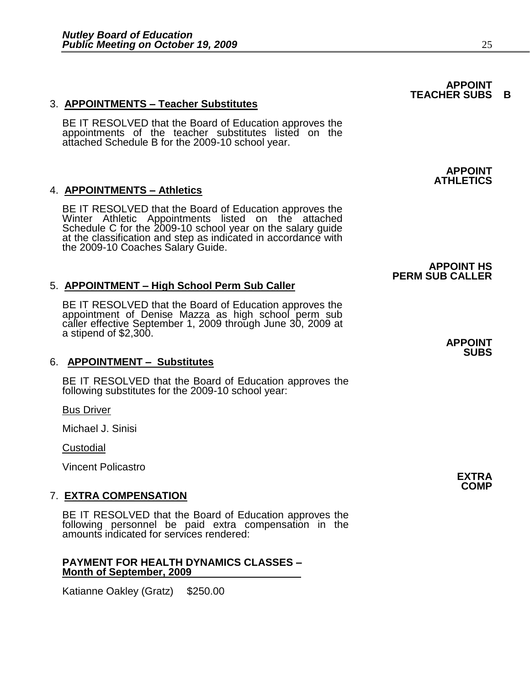#### 3. **APPOINTMENTS – Teacher Substitutes**

BE IT RESOLVED that the Board of Education approves the appointments of the teacher substitutes listed on the attached Schedule B for the 2009-10 school year.

#### 4. **APPOINTMENTS – Athletics**

BE IT RESOLVED that the Board of Education approves the Winter Athletic Appointments listed on the attached Schedule C for the 2009-10 school year on the salary guide at the classification and step as indicated in accordance with the 2009-10 Coaches Salary Guide.

#### 5. **APPOINTMENT – High School Perm Sub Caller**

BE IT RESOLVED that the Board of Education approves the appointment of Denise Mazza as high school perm sub caller effective September 1, 2009 through June 30, 2009 at a stipend of \$2,300.

#### 6. **APPOINTMENT – Substitutes**

BE IT RESOLVED that the Board of Education approves the following substitutes for the 2009-10 school year:

Bus Driver

Michael J. Sinisi

**Custodial** 

Vincent Policastro

#### 7. **EXTRA COMPENSATION**

BE IT RESOLVED that the Board of Education approves the following personnel be paid extra compensation in the amounts indicated for services rendered:

#### **PAYMENT FOR HEALTH DYNAMICS CLASSES – Month of September, 2009**

Katianne Oakley (Gratz) \$250.00

#### **APPOINT TEACHER SUBS B**

**APPOINT ATHLETICS**

**APPOINT HS** 

**PERM SUB CALLER**

**APPOINT SUBS**

> **EXTRA COMP**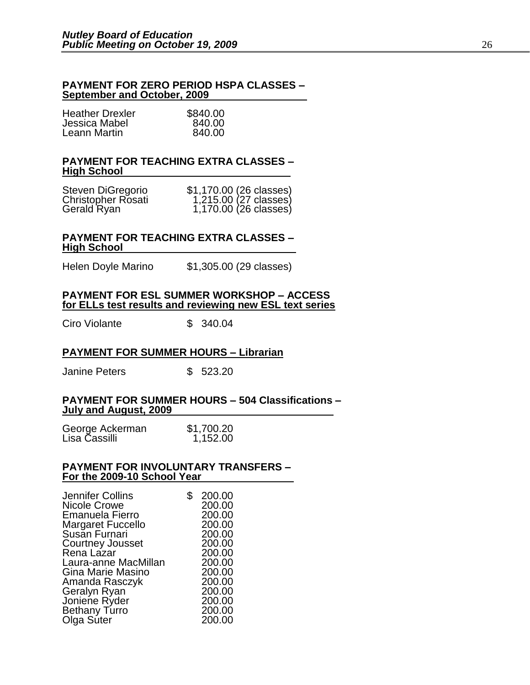#### **PAYMENT FOR ZERO PERIOD HSPA CLASSES – September and October, 2009**

| <b>Heather Drexler</b> | \$840.00 |
|------------------------|----------|
| Jessica Mabel          | 840.00   |
| Leann Martin           | 840.00   |

#### **PAYMENT FOR TEACHING EXTRA CLASSES – High School**

| Steven DiGregorio         | \$1,170.00 (26 classes) |
|---------------------------|-------------------------|
| <b>Christopher Rosati</b> | 1,215.00 (27 classes)   |
| Gerald Ryan               | 1,170.00 (26 classes)   |

#### **PAYMENT FOR TEACHING EXTRA CLASSES – High School**

Helen Doyle Marino \$1,305.00 (29 classes)

#### **PAYMENT FOR ESL SUMMER WORKSHOP – ACCESS for ELLs test results and reviewing new ESL text series**

Ciro Violante  $$340.04$ 

#### **PAYMENT FOR SUMMER HOURS – Librarian**

Janine Peters \$ 523.20

#### **PAYMENT FOR SUMMER HOURS – 504 Classifications – July and August, 2009**

George Ackerman \$1,700.20 Lisa Cassilli 1,152.00

#### **PAYMENT FOR INVOLUNTARY TRANSFERS – For the 2009-10 School Year**

| Jennifer Collins         | \$<br>200.00 |  |
|--------------------------|--------------|--|
| <b>Nicole Crowe</b>      | 200.00       |  |
| Emanuela Fierro          | 200.00       |  |
| <b>Margaret Fuccello</b> | 200.00       |  |
| Susan Furnari            | 200.00       |  |
| <b>Courtney Jousset</b>  | 200.00       |  |
| Rena Lazar               | 200.00       |  |
| Laura-anne MacMillan     | 200.00       |  |
| Gina Marie Masino        | 200.00       |  |
| Amanda Rasczyk           | 200.00       |  |
| Geralyn Ryan             | 200.00       |  |
| Joniene Ryder            | 200.00       |  |
| Bethany Turro            | 200.00       |  |
| Olga Suter               | 200.00       |  |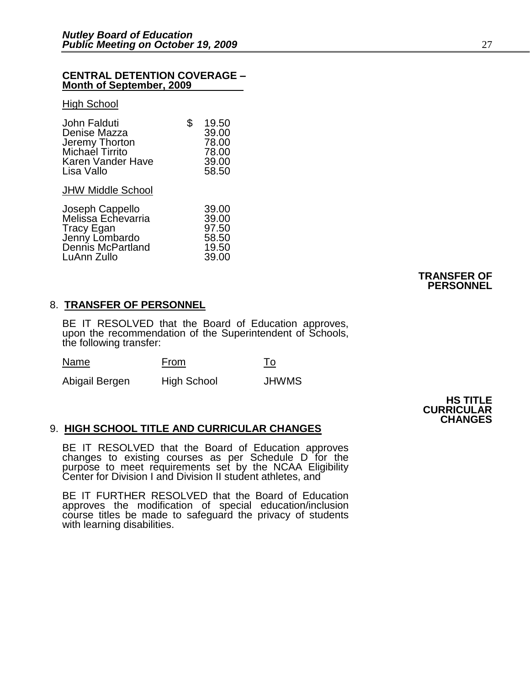#### **CENTRAL DETENTION COVERAGE – Month of September, 2009**

#### **High School**

LuAnn Zullo

| John Falduti<br>Denise Mazza<br>Jeremy Thorton<br>Michael Tirrito<br>Karen Vander Have<br>Lisa Vallo             | \$<br>19.50<br>39.00<br>78.00<br>78.00<br>39.00<br>58.50 |
|------------------------------------------------------------------------------------------------------------------|----------------------------------------------------------|
| <b>JHW Middle School</b>                                                                                         |                                                          |
| Joseph Cappello<br>Melissa Echevarria<br><b>Tracy Egan</b><br>Jenny Lombardo<br>Dennis McPartland<br>LuAnn Zullo | 39.00<br>39.00<br>97.50<br>58.50<br>19.50<br>39.00       |

#### **TRANSFER OF PERSONNEL**

#### 8. **TRANSFER OF PERSONNEL**

BE IT RESOLVED that the Board of Education approves, upon the recommendation of the Superintendent of Schools, the following transfer:

| ∼ | Name | <b>From</b> |  |
|---|------|-------------|--|
|---|------|-------------|--|

Abigail Bergen High School JHWMS

**HS TITLE CURRICULAR CHANGES**

#### 9. **HIGH SCHOOL TITLE AND CURRICULAR CHANGES**

BE IT RESOLVED that the Board of Education approves changes to existing courses as per Schedule D for the purpose to meet requirements set by the NCAA Eligibility Center for Division I and Division II student athletes, and

BE IT FURTHER RESOLVED that the Board of Education approves the modification of special education/inclusion course titles be made to safeguard the privacy of students with learning disabilities.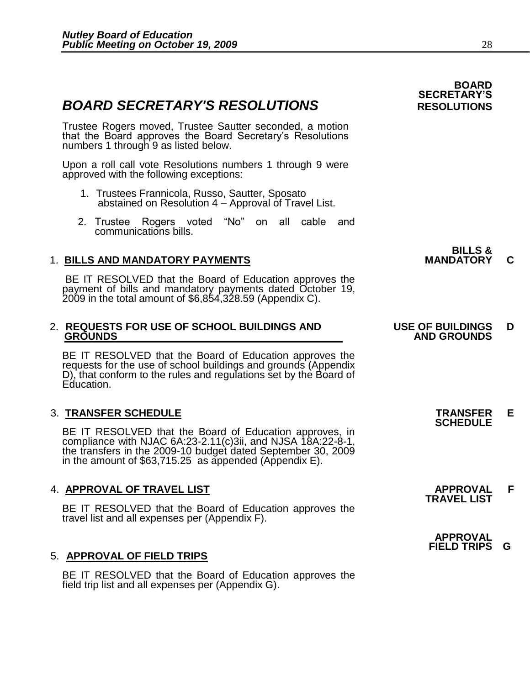### **BOARD SECRETARY'S RESOLUTIONS** RESOLUTIONS

Trustee Rogers moved, Trustee Sautter seconded, a motion that the Board approves the Board Secretary's Resolutions numbers 1 through 9 as listed below.

Upon a roll call vote Resolutions numbers 1 through 9 were approved with the following exceptions:

- 1. Trustees Frannicola, Russo, Sautter, Sposato abstained on Resolution 4 – Approval of Travel List.
- 2. Trustee Rogers voted "No" on all cable and communications bills.

### 1. BILLS AND MANDATORY PAYMENTS **And Account CONTRACT CONTRACT CONTRACT CONTRACT CONTRACT CONTRACT CONTRACT CONTRACT CONTRACT CONTRACT CONTRACT CONTRACT CONTRACT CONTRACT CONTRACT CONTRACT CONTRACT CONTRACT CONTRACT CONTRA**

BE IT RESOLVED that the Board of Education approves the payment of bills and mandatory payments dated October 19, 2009 in the total amount of \$6,854,328.59 (Appendix C).

# 2. **REQUESTS FOR USE OF SCHOOL BUILDINGS AND USE OF BUILDINGS D**

BE IT RESOLVED that the Board of Education approves the requests for the use of school buildings and grounds (Appendix D), that conform to the rules and regulations set by the Board of Education.

#### 3. **TRANSFER SCHEDULE TRANSFER E**

BE IT RESOLVED that the Board of Education approves, in compliance with NJAC 6A:23-2.11(c)3ii, and NJSA 18A:22-8-1, the transfers in the 2009-10 budget dated September 30, 2009 in the amount of  $$63,715.25$  as appended (Appendix E).

#### 4. **APPROVAL OF TRAVEL LIST APPROVAL F**

BE IT RESOLVED that the Board of Education approves the travel list and all expenses per (Appendix F).

#### 5. **APPROVAL OF FIELD TRIPS**

 BE IT RESOLVED that the Board of Education approves the field trip list and all expenses per (Appendix G).

## **BOARD SECRETARY'S**

| <b>BILLS &amp;</b> |  |
|--------------------|--|
| <b>MANDATORY</b>   |  |

## **GROUNDS AND GROUNDS**

**SCHEDULE** 

**TRAVEL LIST** 

 **APPROVAL FIELD TRIPS G**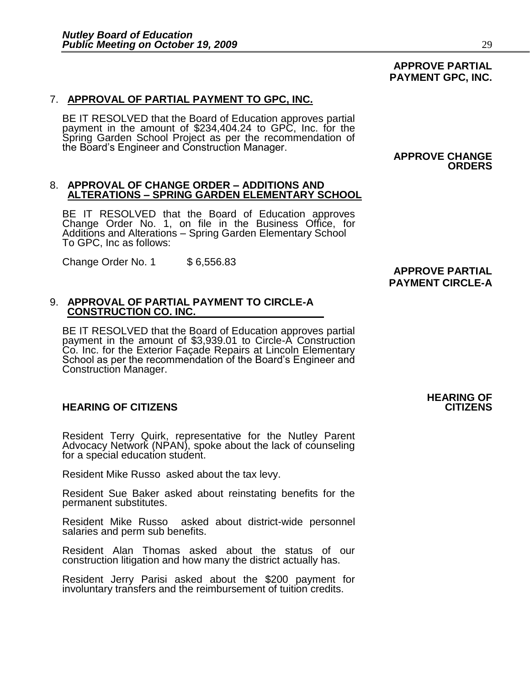# 7. **APPROVAL OF PARTIAL PAYMENT TO GPC, INC.**

BE IT RESOLVED that the Board of Education approves partial payment in the amount of \$234,404.24 to GPC, Inc. for the Spring Garden School Project as per the recommendation of the Board's Engineer and Construction Manager.

#### 8. **APPROVAL OF CHANGE ORDER – ADDITIONS AND ALTERATIONS – SPRING GARDEN ELEMENTARY SCHOOL**

BE IT RESOLVED that the Board of Education approves Change Order No. 1, on file in the Business Office, for Additions and Alterations – Spring Garden Elementary School To GPC, Inc as follows:

Change Order No. 1 \$ 6,556.83

### **APPROVE PARTIAL PAYMENT CIRCLE-A**

#### 9. **APPROVAL OF PARTIAL PAYMENT TO CIRCLE-A CONSTRUCTION CO. INC.**

BE IT RESOLVED that the Board of Education approves partial payment in the amount of \$3,939.01 to Circle-A Construction Co. Inc. for the Exterior Façade Repairs at Lincoln Elementary School as per the recommendation of the Board's Engineer and Construction Manager.

#### **HEARING OF CITIZENS CITIZENS**

Resident Terry Quirk, representative for the Nutley Parent Advocacy Network (NPAN), spoke about the lack of counseling for a special education student.

Resident Mike Russo asked about the tax levy.

Resident Sue Baker asked about reinstating benefits for the permanent substitutes.

Resident Mike Russo asked about district-wide personnel salaries and perm sub benefits.

Resident Alan Thomas asked about the status of our construction litigation and how many the district actually has.

Resident Jerry Parisi asked about the \$200 payment for involuntary transfers and the reimbursement of tuition credits.

# **HEARING OF**

#### **APPROVE PARTIAL PAYMENT GPC, INC.**

**APPROVE CHANGE** 

**ORDERS**